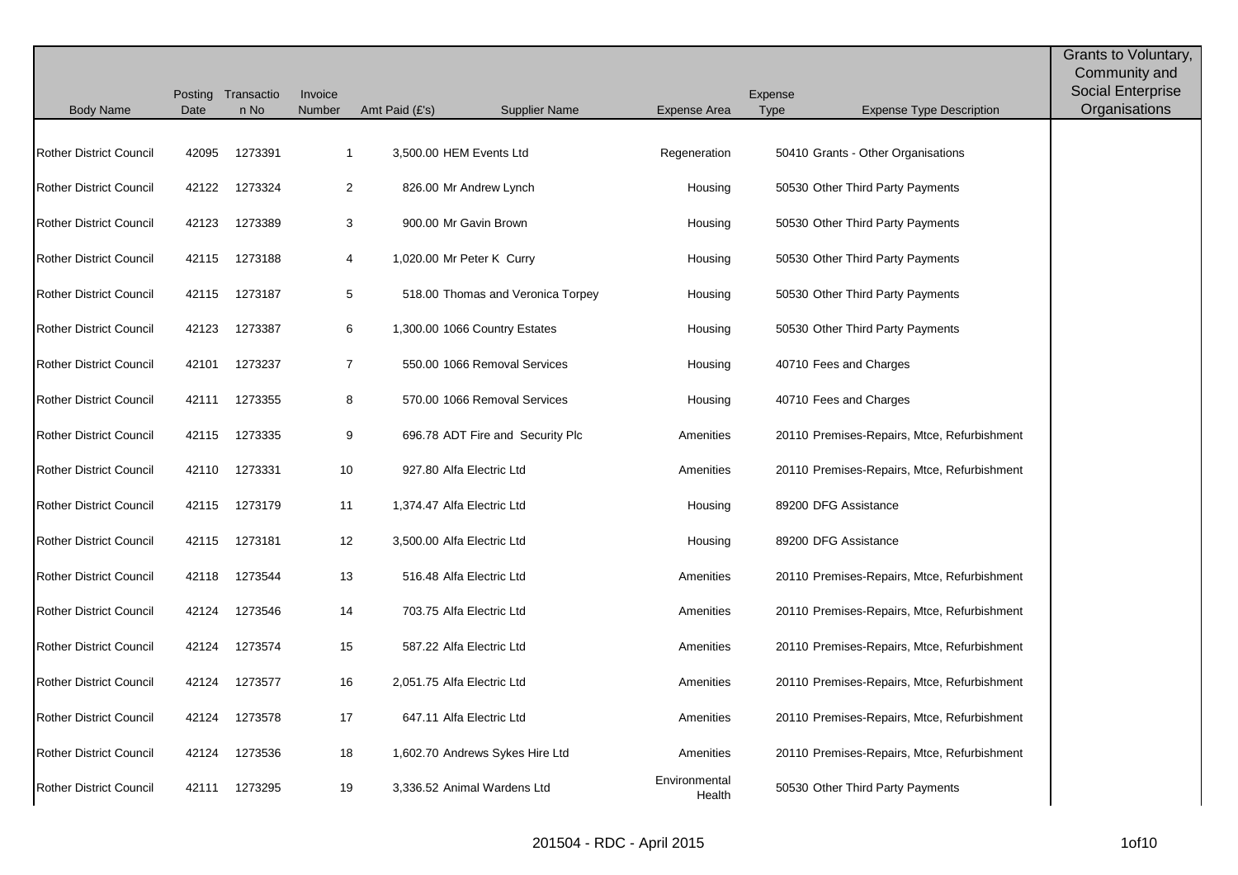|                                | Posting | Transactio    | Invoice        |                |                                   |                         | Expense                                        | Grants to Voluntary,<br>Community and<br><b>Social Enterprise</b> |
|--------------------------------|---------|---------------|----------------|----------------|-----------------------------------|-------------------------|------------------------------------------------|-------------------------------------------------------------------|
| <b>Body Name</b>               | Date    | n No          | Number         | Amt Paid (£'s) | <b>Supplier Name</b>              | Expense Area            | <b>Type</b><br><b>Expense Type Description</b> | Organisations                                                     |
| <b>Rother District Council</b> | 42095   | 1273391       | $\mathbf{1}$   |                | 3,500.00 HEM Events Ltd           | Regeneration            | 50410 Grants - Other Organisations             |                                                                   |
| <b>Rother District Council</b> | 42122   | 1273324       | $\overline{2}$ |                | 826.00 Mr Andrew Lynch            | Housing                 | 50530 Other Third Party Payments               |                                                                   |
| <b>Rother District Council</b> | 42123   | 1273389       | 3              |                | 900.00 Mr Gavin Brown             | Housing                 | 50530 Other Third Party Payments               |                                                                   |
| <b>Rother District Council</b> | 42115   | 1273188       | 4              |                | 1,020.00 Mr Peter K Curry         | Housing                 | 50530 Other Third Party Payments               |                                                                   |
| <b>Rother District Council</b> | 42115   | 1273187       | 5              |                | 518.00 Thomas and Veronica Torpey | Housing                 | 50530 Other Third Party Payments               |                                                                   |
| <b>Rother District Council</b> | 42123   | 1273387       | 6              |                | 1,300.00 1066 Country Estates     | Housing                 | 50530 Other Third Party Payments               |                                                                   |
| <b>Rother District Council</b> | 42101   | 1273237       | $\overline{7}$ |                | 550.00 1066 Removal Services      | Housing                 | 40710 Fees and Charges                         |                                                                   |
| <b>Rother District Council</b> | 42111   | 1273355       | 8              |                | 570.00 1066 Removal Services      | Housing                 | 40710 Fees and Charges                         |                                                                   |
| <b>Rother District Council</b> | 42115   | 1273335       | 9              |                | 696.78 ADT Fire and Security Plc  | Amenities               | 20110 Premises-Repairs, Mtce, Refurbishment    |                                                                   |
| <b>Rother District Council</b> | 42110   | 1273331       | 10             |                | 927.80 Alfa Electric Ltd          | Amenities               | 20110 Premises-Repairs, Mtce, Refurbishment    |                                                                   |
| <b>Rother District Council</b> | 42115   | 1273179       | 11             |                | 1,374.47 Alfa Electric Ltd        | Housing                 | 89200 DFG Assistance                           |                                                                   |
| <b>Rother District Council</b> | 42115   | 1273181       | 12             |                | 3,500.00 Alfa Electric Ltd        | Housing                 | 89200 DFG Assistance                           |                                                                   |
| <b>Rother District Council</b> | 42118   | 1273544       | 13             |                | 516.48 Alfa Electric Ltd          | Amenities               | 20110 Premises-Repairs, Mtce, Refurbishment    |                                                                   |
| <b>Rother District Council</b> | 42124   | 1273546       | 14             |                | 703.75 Alfa Electric Ltd          | Amenities               | 20110 Premises-Repairs, Mtce, Refurbishment    |                                                                   |
| <b>Rother District Council</b> | 42124   | 1273574       | 15             |                | 587.22 Alfa Electric Ltd          | Amenities               | 20110 Premises-Repairs, Mtce, Refurbishment    |                                                                   |
| <b>Rother District Council</b> | 42124   | 1273577       | 16             |                | 2,051.75 Alfa Electric Ltd        | Amenities               | 20110 Premises-Repairs, Mtce, Refurbishment    |                                                                   |
| <b>Rother District Council</b> | 42124   | 1273578       | 17             |                | 647.11 Alfa Electric Ltd          | Amenities               | 20110 Premises-Repairs, Mtce, Refurbishment    |                                                                   |
| <b>Rother District Council</b> | 42124   | 1273536       | 18             |                | 1,602.70 Andrews Sykes Hire Ltd   | Amenities               | 20110 Premises-Repairs, Mtce, Refurbishment    |                                                                   |
| <b>Rother District Council</b> |         | 42111 1273295 | 19             |                | 3,336.52 Animal Wardens Ltd       | Environmental<br>Health | 50530 Other Third Party Payments               |                                                                   |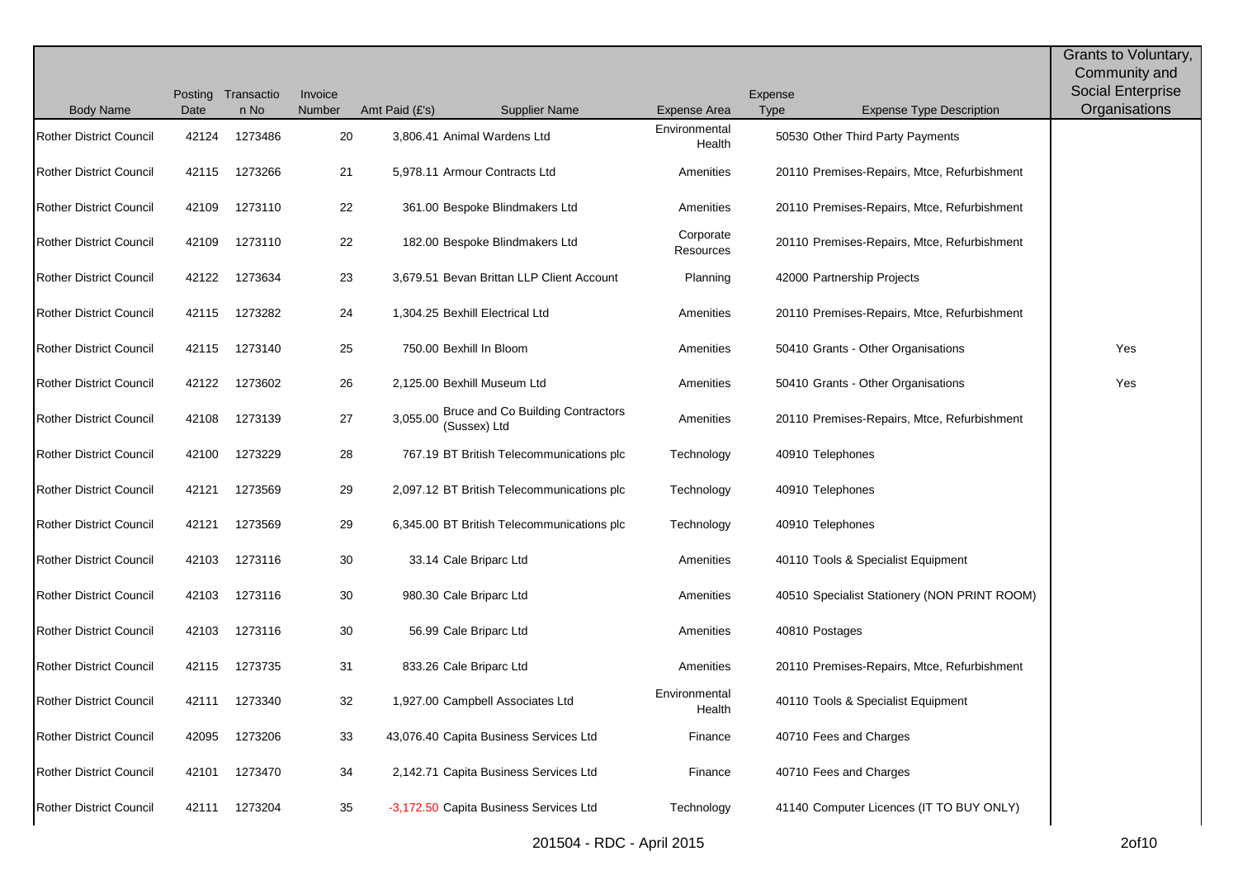|                                |       |                    |         |                |                                                   |                         |         |                                              | Grants to Voluntary,<br>Community and |
|--------------------------------|-------|--------------------|---------|----------------|---------------------------------------------------|-------------------------|---------|----------------------------------------------|---------------------------------------|
|                                |       | Posting Transactio | Invoice |                |                                                   |                         | Expense |                                              | <b>Social Enterprise</b>              |
| <b>Body Name</b>               | Date  | n No               | Number  | Amt Paid (£'s) | <b>Supplier Name</b>                              | <b>Expense Area</b>     | Type    | <b>Expense Type Description</b>              | Organisations                         |
| <b>Rother District Council</b> | 42124 | 1273486            | 20      |                | 3,806.41 Animal Wardens Ltd                       | Environmental<br>Health |         | 50530 Other Third Party Payments             |                                       |
| <b>Rother District Council</b> | 42115 | 1273266            | 21      |                | 5,978.11 Armour Contracts Ltd                     | Amenities               |         | 20110 Premises-Repairs, Mtce, Refurbishment  |                                       |
| <b>Rother District Council</b> | 42109 | 1273110            | 22      |                | 361.00 Bespoke Blindmakers Ltd                    | Amenities               |         | 20110 Premises-Repairs, Mtce, Refurbishment  |                                       |
| <b>Rother District Council</b> | 42109 | 1273110            | 22      |                | 182.00 Bespoke Blindmakers Ltd                    | Corporate<br>Resources  |         | 20110 Premises-Repairs, Mtce, Refurbishment  |                                       |
| <b>Rother District Council</b> | 42122 | 1273634            | 23      |                | 3,679.51 Bevan Brittan LLP Client Account         | Planning                |         | 42000 Partnership Projects                   |                                       |
| <b>Rother District Council</b> | 42115 | 1273282            | 24      |                | 1,304.25 Bexhill Electrical Ltd                   | Amenities               |         | 20110 Premises-Repairs, Mtce, Refurbishment  |                                       |
| <b>Rother District Council</b> | 42115 | 1273140            | 25      |                | 750.00 Bexhill In Bloom                           | Amenities               |         | 50410 Grants - Other Organisations           | Yes                                   |
| <b>Rother District Council</b> | 42122 | 1273602            | 26      |                | 2,125.00 Bexhill Museum Ltd                       | Amenities               |         | 50410 Grants - Other Organisations           | Yes                                   |
| <b>Rother District Council</b> | 42108 | 1273139            | 27      | 3,055.00       | Bruce and Co Building Contractors<br>(Sussex) Ltd | Amenities               |         | 20110 Premises-Repairs, Mtce, Refurbishment  |                                       |
| <b>Rother District Council</b> | 42100 | 1273229            | 28      |                | 767.19 BT British Telecommunications plc          | Technology              |         | 40910 Telephones                             |                                       |
| <b>Rother District Council</b> | 42121 | 1273569            | 29      |                | 2,097.12 BT British Telecommunications plc        | Technology              |         | 40910 Telephones                             |                                       |
| <b>Rother District Council</b> | 42121 | 1273569            | 29      |                | 6,345.00 BT British Telecommunications plc        | Technology              |         | 40910 Telephones                             |                                       |
| <b>Rother District Council</b> | 42103 | 1273116            | 30      |                | 33.14 Cale Briparc Ltd                            | Amenities               |         | 40110 Tools & Specialist Equipment           |                                       |
| <b>Rother District Council</b> | 42103 | 1273116            | 30      |                | 980.30 Cale Briparc Ltd                           | Amenities               |         | 40510 Specialist Stationery (NON PRINT ROOM) |                                       |
| <b>Rother District Council</b> | 42103 | 1273116            | 30      |                | 56.99 Cale Briparc Ltd                            | Amenities               |         | 40810 Postages                               |                                       |
| <b>Rother District Council</b> | 42115 | 1273735            | 31      |                | 833.26 Cale Briparc Ltd                           | Amenities               |         | 20110 Premises-Repairs, Mtce, Refurbishment  |                                       |
| <b>Rother District Council</b> | 42111 | 1273340            | 32      |                | 1,927.00 Campbell Associates Ltd                  | Environmental<br>Health |         | 40110 Tools & Specialist Equipment           |                                       |
| <b>Rother District Council</b> | 42095 | 1273206            | 33      |                | 43,076.40 Capita Business Services Ltd            | Finance                 |         | 40710 Fees and Charges                       |                                       |
| <b>Rother District Council</b> | 42101 | 1273470            | 34      |                | 2,142.71 Capita Business Services Ltd             | Finance                 |         | 40710 Fees and Charges                       |                                       |
| <b>Rother District Council</b> | 42111 | 1273204            | 35      |                | -3,172.50 Capita Business Services Ltd            | Technology              |         | 41140 Computer Licences (IT TO BUY ONLY)     |                                       |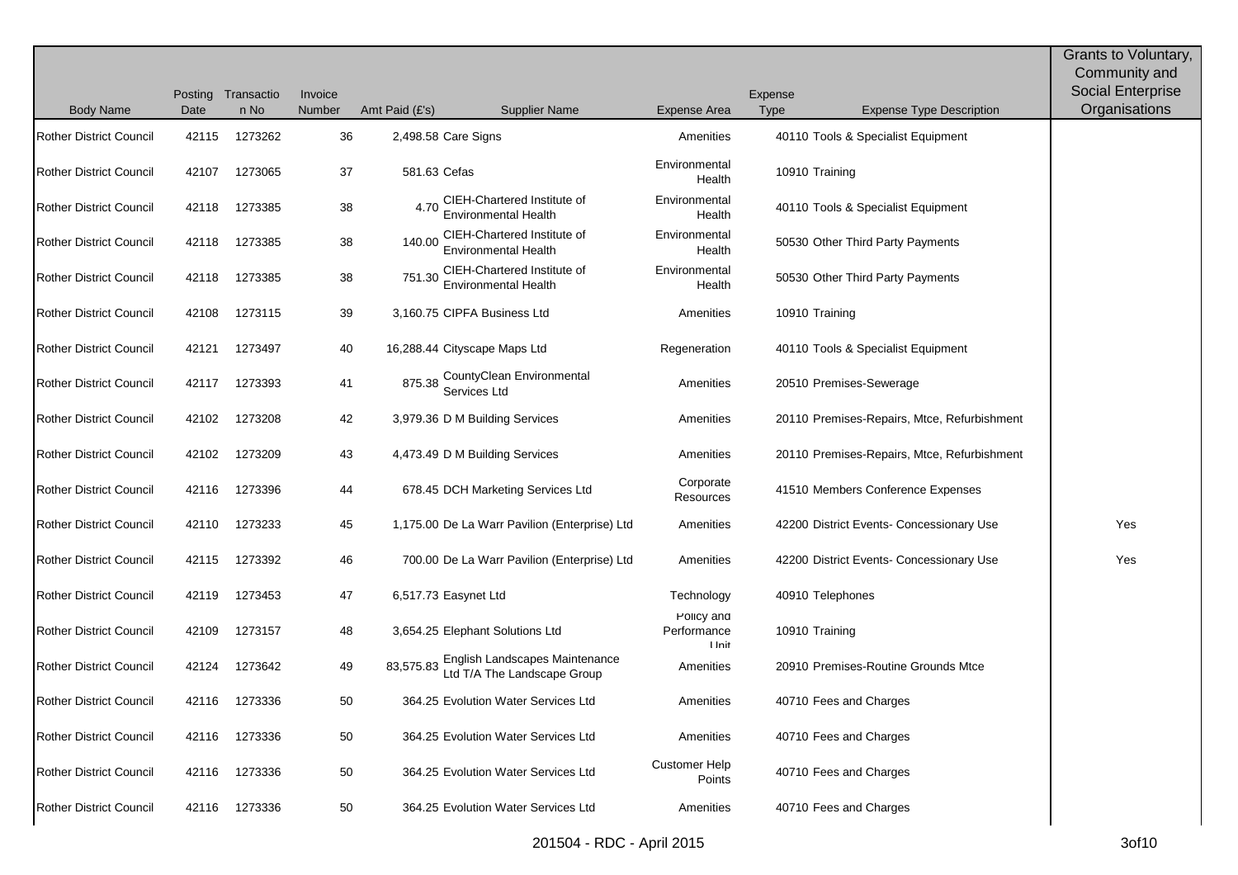| <b>Body Name</b>               | Date  | Posting Transactio<br>n No | Invoice<br>Number | Amt Paid (£'s) | <b>Supplier Name</b>                                          | <b>Expense Area</b>                 | Expense<br><b>Type</b> | <b>Expense Type Description</b>             | Grants to Voluntary,<br>Community and<br>Social Enterprise<br>Organisations |
|--------------------------------|-------|----------------------------|-------------------|----------------|---------------------------------------------------------------|-------------------------------------|------------------------|---------------------------------------------|-----------------------------------------------------------------------------|
| <b>Rother District Council</b> | 42115 | 1273262                    | 36                |                | 2,498.58 Care Signs                                           | Amenities                           |                        | 40110 Tools & Specialist Equipment          |                                                                             |
| <b>Rother District Council</b> | 42107 | 1273065                    | 37                | 581.63 Cefas   |                                                               | Environmental<br>Health             |                        | 10910 Training                              |                                                                             |
| <b>Rother District Council</b> | 42118 | 1273385                    | 38                | 4.70           | CIEH-Chartered Institute of<br><b>Environmental Health</b>    | Environmental<br>Health             |                        | 40110 Tools & Specialist Equipment          |                                                                             |
| <b>Rother District Council</b> | 42118 | 1273385                    | 38                | 140.00         | CIEH-Chartered Institute of<br>Environmental Health           | Environmental<br>Health             |                        | 50530 Other Third Party Payments            |                                                                             |
| <b>Rother District Council</b> | 42118 | 1273385                    | 38                | 751.30         | CIEH-Chartered Institute of<br><b>Environmental Health</b>    | Environmental<br>Health             |                        | 50530 Other Third Party Payments            |                                                                             |
| <b>Rother District Council</b> | 42108 | 1273115                    | 39                |                | 3,160.75 CIPFA Business Ltd                                   | Amenities                           |                        | 10910 Training                              |                                                                             |
| <b>Rother District Council</b> | 42121 | 1273497                    | 40                |                | 16,288.44 Cityscape Maps Ltd                                  | Regeneration                        |                        | 40110 Tools & Specialist Equipment          |                                                                             |
| <b>Rother District Council</b> | 42117 | 1273393                    | 41                | 875.38         | CountyClean Environmental<br>Services Ltd                     | Amenities                           |                        | 20510 Premises-Sewerage                     |                                                                             |
| <b>Rother District Council</b> | 42102 | 1273208                    | 42                |                | 3,979.36 D M Building Services                                | Amenities                           |                        | 20110 Premises-Repairs, Mtce, Refurbishment |                                                                             |
| <b>Rother District Council</b> | 42102 | 1273209                    | 43                |                | 4,473.49 D M Building Services                                | Amenities                           |                        | 20110 Premises-Repairs, Mtce, Refurbishment |                                                                             |
| <b>Rother District Council</b> | 42116 | 1273396                    | 44                |                | 678.45 DCH Marketing Services Ltd                             | Corporate<br>Resources              |                        | 41510 Members Conference Expenses           |                                                                             |
| <b>Rother District Council</b> | 42110 | 1273233                    | 45                |                | 1,175.00 De La Warr Pavilion (Enterprise) Ltd                 | Amenities                           |                        | 42200 District Events- Concessionary Use    | Yes                                                                         |
| <b>Rother District Council</b> | 42115 | 1273392                    | 46                |                | 700.00 De La Warr Pavilion (Enterprise) Ltd                   | Amenities                           |                        | 42200 District Events- Concessionary Use    | Yes                                                                         |
| <b>Rother District Council</b> | 42119 | 1273453                    | 47                |                | 6,517.73 Easynet Ltd                                          | Technology                          |                        | 40910 Telephones                            |                                                                             |
| <b>Rother District Council</b> | 42109 | 1273157                    | 48                |                | 3,654.25 Elephant Solutions Ltd                               | Policy and<br>Performance<br>I Init |                        | 10910 Training                              |                                                                             |
| <b>Rother District Council</b> | 42124 | 1273642                    | 49                | 83,575.83      | English Landscapes Maintenance<br>Ltd T/A The Landscape Group | Amenities                           |                        | 20910 Premises-Routine Grounds Mtce         |                                                                             |
| <b>Rother District Council</b> | 42116 | 1273336                    | 50                |                | 364.25 Evolution Water Services Ltd                           | Amenities                           |                        | 40710 Fees and Charges                      |                                                                             |
| <b>Rother District Council</b> | 42116 | 1273336                    | 50                |                | 364.25 Evolution Water Services Ltd                           | Amenities                           |                        | 40710 Fees and Charges                      |                                                                             |
| <b>Rother District Council</b> | 42116 | 1273336                    | $50\,$            |                | 364.25 Evolution Water Services Ltd                           | <b>Customer Help</b><br>Points      |                        | 40710 Fees and Charges                      |                                                                             |
| <b>Rother District Council</b> | 42116 | 1273336                    | 50                |                | 364.25 Evolution Water Services Ltd                           | Amenities                           |                        | 40710 Fees and Charges                      |                                                                             |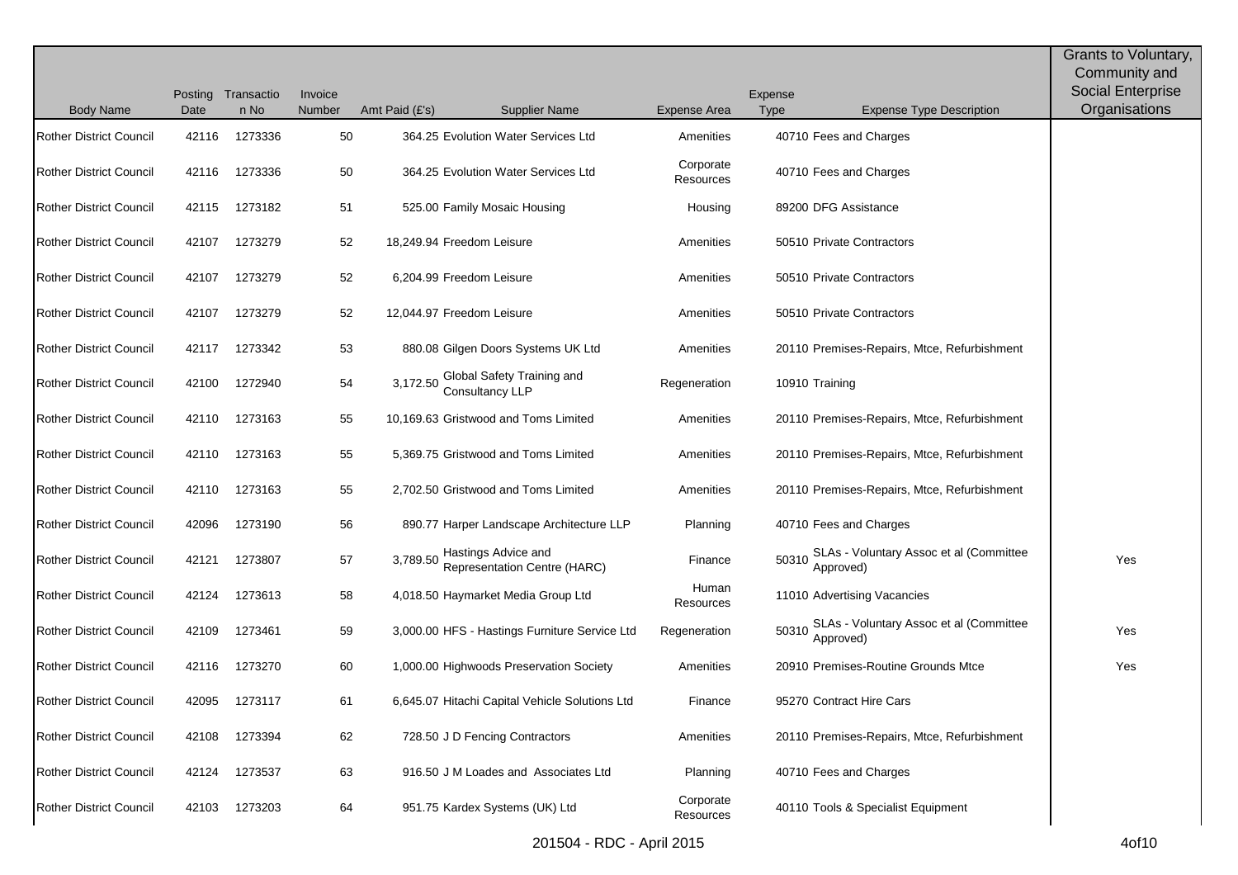|                                |       |                            |                   |                           |                                                            |                        |                        |                                                      | Grants to Voluntary,               |
|--------------------------------|-------|----------------------------|-------------------|---------------------------|------------------------------------------------------------|------------------------|------------------------|------------------------------------------------------|------------------------------------|
|                                |       |                            |                   |                           |                                                            |                        |                        |                                                      | Community and                      |
| <b>Body Name</b>               | Date  | Posting Transactio<br>n No | Invoice<br>Number | Amt Paid (£'s)            | <b>Supplier Name</b>                                       | <b>Expense Area</b>    | Expense<br><b>Type</b> | <b>Expense Type Description</b>                      | Social Enterprise<br>Organisations |
|                                |       |                            |                   |                           |                                                            |                        |                        |                                                      |                                    |
| <b>Rother District Council</b> | 42116 | 1273336                    | 50                |                           | 364.25 Evolution Water Services Ltd                        | Amenities              |                        | 40710 Fees and Charges                               |                                    |
| <b>Rother District Council</b> | 42116 | 1273336                    | 50                |                           | 364.25 Evolution Water Services Ltd                        | Corporate<br>Resources |                        | 40710 Fees and Charges                               |                                    |
| <b>Rother District Council</b> | 42115 | 1273182                    | 51                |                           | 525.00 Family Mosaic Housing                               | Housing                |                        | 89200 DFG Assistance                                 |                                    |
| <b>Rother District Council</b> | 42107 | 1273279                    | 52                | 18,249.94 Freedom Leisure |                                                            | Amenities              |                        | 50510 Private Contractors                            |                                    |
| <b>Rother District Council</b> | 42107 | 1273279                    | 52                |                           | 6,204.99 Freedom Leisure                                   | Amenities              |                        | 50510 Private Contractors                            |                                    |
| <b>Rother District Council</b> | 42107 | 1273279                    | 52                | 12,044.97 Freedom Leisure |                                                            | Amenities              |                        | 50510 Private Contractors                            |                                    |
| <b>Rother District Council</b> | 42117 | 1273342                    | 53                |                           | 880.08 Gilgen Doors Systems UK Ltd                         | Amenities              |                        | 20110 Premises-Repairs, Mtce, Refurbishment          |                                    |
| <b>Rother District Council</b> | 42100 | 1272940                    | 54                | 3,172.50                  | Global Safety Training and<br>Consultancy LLP              | Regeneration           |                        | 10910 Training                                       |                                    |
| <b>Rother District Council</b> | 42110 | 1273163                    | 55                |                           | 10,169.63 Gristwood and Toms Limited                       | Amenities              |                        | 20110 Premises-Repairs, Mtce, Refurbishment          |                                    |
| <b>Rother District Council</b> | 42110 | 1273163                    | 55                |                           | 5,369.75 Gristwood and Toms Limited                        | Amenities              |                        | 20110 Premises-Repairs, Mtce, Refurbishment          |                                    |
| <b>Rother District Council</b> | 42110 | 1273163                    | 55                |                           | 2,702.50 Gristwood and Toms Limited                        | Amenities              |                        | 20110 Premises-Repairs, Mtce, Refurbishment          |                                    |
| <b>Rother District Council</b> | 42096 | 1273190                    | 56                |                           | 890.77 Harper Landscape Architecture LLP                   | Planning               |                        | 40710 Fees and Charges                               |                                    |
| <b>Rother District Council</b> | 42121 | 1273807                    | 57                | 3,789.50                  | Hastings Advice and<br><b>Representation Centre (HARC)</b> | Finance                | 50310                  | SLAs - Voluntary Assoc et al (Committee<br>Approved) | Yes                                |
| <b>Rother District Council</b> | 42124 | 1273613                    | 58                |                           | 4,018.50 Haymarket Media Group Ltd                         | Human<br>Resources     |                        | 11010 Advertising Vacancies                          |                                    |
| <b>Rother District Council</b> | 42109 | 1273461                    | 59                |                           | 3,000.00 HFS - Hastings Furniture Service Ltd              | Regeneration           | 50310                  | SLAs - Voluntary Assoc et al (Committee<br>Approved) | Yes                                |
| <b>Rother District Council</b> | 42116 | 1273270                    | 60                |                           | 1,000.00 Highwoods Preservation Society                    | Amenities              |                        | 20910 Premises-Routine Grounds Mtce                  | Yes                                |
| <b>Rother District Council</b> | 42095 | 1273117                    | 61                |                           | 6,645.07 Hitachi Capital Vehicle Solutions Ltd             | Finance                |                        | 95270 Contract Hire Cars                             |                                    |
| <b>Rother District Council</b> | 42108 | 1273394                    | 62                |                           | 728.50 J D Fencing Contractors                             | Amenities              |                        | 20110 Premises-Repairs, Mtce, Refurbishment          |                                    |
| <b>Rother District Council</b> | 42124 | 1273537                    | 63                |                           | 916.50 J M Loades and Associates Ltd                       | Planning               |                        | 40710 Fees and Charges                               |                                    |
| <b>Rother District Council</b> | 42103 | 1273203                    | 64                |                           | 951.75 Kardex Systems (UK) Ltd                             | Corporate<br>Resources |                        | 40110 Tools & Specialist Equipment                   |                                    |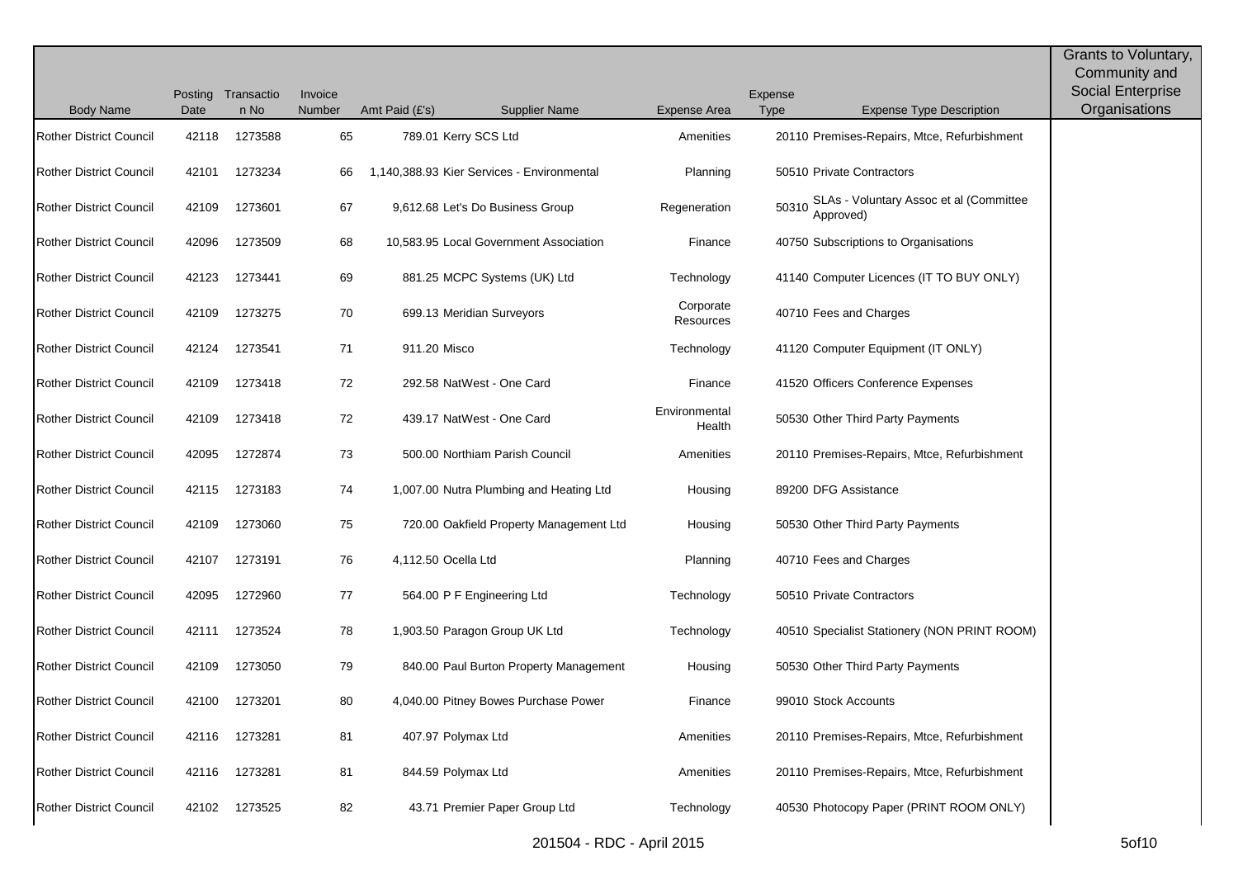|                                |       | Posting Transactio | Invoice |                     |                                            |                         | Expense     |                                                      | Grants to Voluntary,<br>Community and<br><b>Social Enterprise</b> |
|--------------------------------|-------|--------------------|---------|---------------------|--------------------------------------------|-------------------------|-------------|------------------------------------------------------|-------------------------------------------------------------------|
| <b>Body Name</b>               | Date  | n No               | Number  | Amt Paid $(E's)$    | <b>Supplier Name</b>                       | <b>Expense Area</b>     | <b>Type</b> | <b>Expense Type Description</b>                      | Organisations                                                     |
| <b>Rother District Council</b> | 42118 | 1273588            | 65      |                     | 789.01 Kerry SCS Ltd                       | Amenities               |             | 20110 Premises-Repairs, Mtce, Refurbishment          |                                                                   |
| <b>Rother District Council</b> | 42101 | 1273234            | 66      |                     | 1,140,388.93 Kier Services - Environmental | Planning                |             | 50510 Private Contractors                            |                                                                   |
| <b>Rother District Council</b> | 42109 | 1273601            | 67      |                     | 9,612.68 Let's Do Business Group           | Regeneration            | 50310       | SLAs - Voluntary Assoc et al (Committee<br>Approved) |                                                                   |
| <b>Rother District Council</b> | 42096 | 1273509            | 68      |                     | 10,583.95 Local Government Association     | Finance                 |             | 40750 Subscriptions to Organisations                 |                                                                   |
| <b>Rother District Council</b> | 42123 | 1273441            | 69      |                     | 881.25 MCPC Systems (UK) Ltd               | Technology              |             | 41140 Computer Licences (IT TO BUY ONLY)             |                                                                   |
| <b>Rother District Council</b> | 42109 | 1273275            | 70      |                     | 699.13 Meridian Surveyors                  | Corporate<br>Resources  |             | 40710 Fees and Charges                               |                                                                   |
| <b>Rother District Council</b> | 42124 | 1273541            | 71      | 911.20 Misco        |                                            | Technology              |             | 41120 Computer Equipment (IT ONLY)                   |                                                                   |
| <b>Rother District Council</b> | 42109 | 1273418            | 72      |                     | 292.58 NatWest - One Card                  | Finance                 |             | 41520 Officers Conference Expenses                   |                                                                   |
| <b>Rother District Council</b> | 42109 | 1273418            | 72      |                     | 439.17 NatWest - One Card                  | Environmental<br>Health |             | 50530 Other Third Party Payments                     |                                                                   |
| <b>Rother District Council</b> | 42095 | 1272874            | 73      |                     | 500.00 Northiam Parish Council             | Amenities               |             | 20110 Premises-Repairs, Mtce, Refurbishment          |                                                                   |
| <b>Rother District Council</b> | 42115 | 1273183            | 74      |                     | 1,007.00 Nutra Plumbing and Heating Ltd    | Housing                 |             | 89200 DFG Assistance                                 |                                                                   |
| <b>Rother District Council</b> | 42109 | 1273060            | 75      |                     | 720.00 Oakfield Property Management Ltd    | Housing                 |             | 50530 Other Third Party Payments                     |                                                                   |
| <b>Rother District Council</b> | 42107 | 1273191            | 76      | 4,112.50 Ocella Ltd |                                            | Planning                |             | 40710 Fees and Charges                               |                                                                   |
| <b>Rother District Council</b> | 42095 | 1272960            | 77      |                     | 564.00 P F Engineering Ltd                 | Technology              |             | 50510 Private Contractors                            |                                                                   |
| <b>Rother District Council</b> | 42111 | 1273524            | 78      |                     | 1,903.50 Paragon Group UK Ltd              | Technology              |             | 40510 Specialist Stationery (NON PRINT ROOM)         |                                                                   |
| <b>Rother District Council</b> | 42109 | 1273050            | 79      |                     | 840.00 Paul Burton Property Management     | Housing                 |             | 50530 Other Third Party Payments                     |                                                                   |
| <b>Rother District Council</b> |       | 42100 1273201      | 80      |                     | 4,040.00 Pitney Bowes Purchase Power       | Finance                 |             | 99010 Stock Accounts                                 |                                                                   |
| <b>Rother District Council</b> | 42116 | 1273281            | 81      |                     | 407.97 Polymax Ltd                         | Amenities               |             | 20110 Premises-Repairs, Mtce, Refurbishment          |                                                                   |
| <b>Rother District Council</b> |       | 42116 1273281      | 81      |                     | 844.59 Polymax Ltd                         | Amenities               |             | 20110 Premises-Repairs, Mtce, Refurbishment          |                                                                   |
| <b>Rother District Council</b> | 42102 | 1273525            | 82      |                     | 43.71 Premier Paper Group Ltd              | Technology              |             | 40530 Photocopy Paper (PRINT ROOM ONLY)              |                                                                   |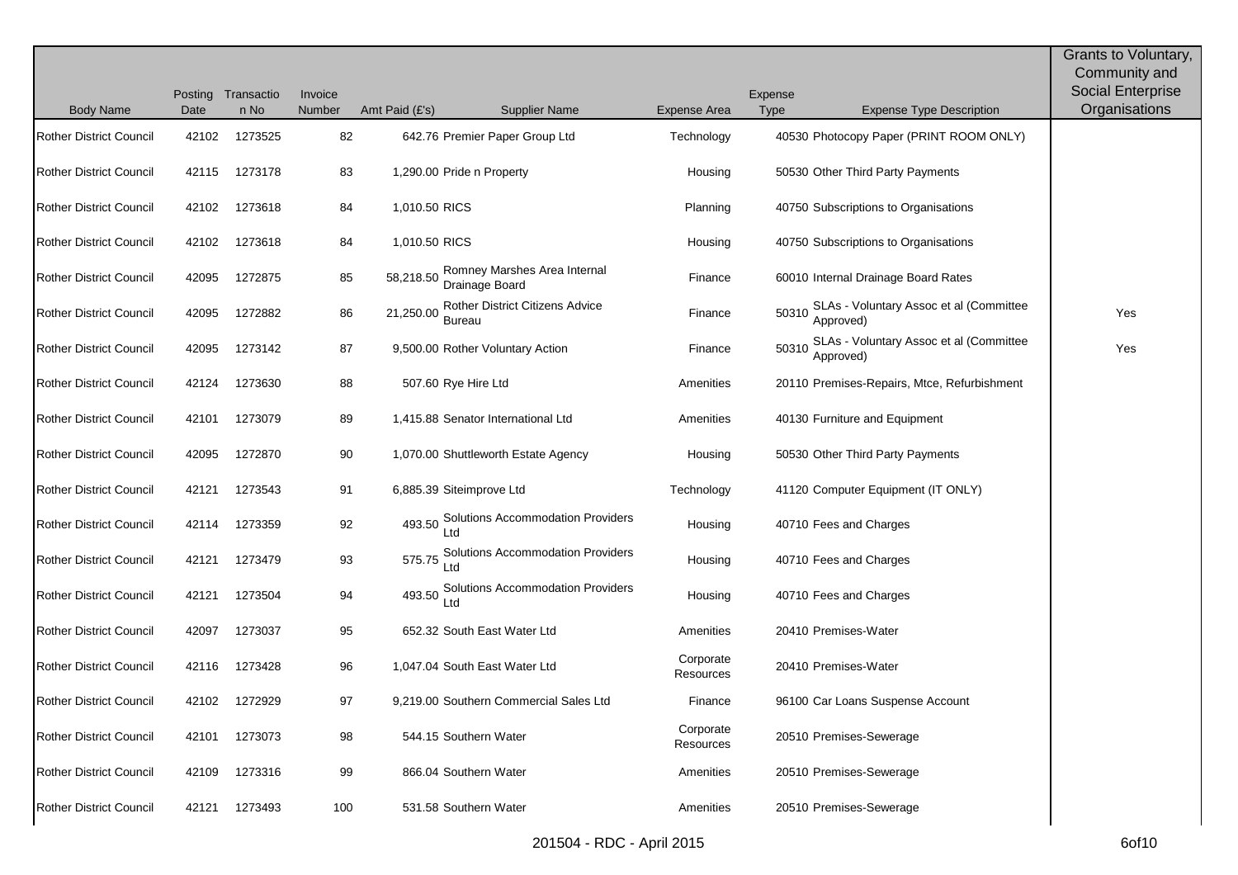|                                |       |                            |                   |                |                                                  |                        |                 |                                                      | Grants to Voluntary,<br>Community and     |
|--------------------------------|-------|----------------------------|-------------------|----------------|--------------------------------------------------|------------------------|-----------------|------------------------------------------------------|-------------------------------------------|
| <b>Body Name</b>               | Date  | Posting Transactio<br>n No | Invoice<br>Number | Amt Paid (£'s) | <b>Supplier Name</b>                             | Expense Area           | Expense<br>Type | <b>Expense Type Description</b>                      | <b>Social Enterprise</b><br>Organisations |
| <b>Rother District Council</b> | 42102 | 1273525                    | 82                |                | 642.76 Premier Paper Group Ltd                   | Technology             |                 | 40530 Photocopy Paper (PRINT ROOM ONLY)              |                                           |
|                                |       |                            |                   |                |                                                  |                        |                 |                                                      |                                           |
| <b>Rother District Council</b> | 42115 | 1273178                    | 83                |                | 1,290.00 Pride n Property                        | Housing                |                 | 50530 Other Third Party Payments                     |                                           |
| <b>Rother District Council</b> | 42102 | 1273618                    | 84                | 1,010.50 RICS  |                                                  | Planning               |                 | 40750 Subscriptions to Organisations                 |                                           |
| <b>Rother District Council</b> | 42102 | 1273618                    | 84                | 1,010.50 RICS  |                                                  | Housing                |                 | 40750 Subscriptions to Organisations                 |                                           |
| <b>Rother District Council</b> | 42095 | 1272875                    | 85                | 58,218.50      | Romney Marshes Area Internal<br>Drainage Board   | Finance                |                 | 60010 Internal Drainage Board Rates                  |                                           |
| <b>Rother District Council</b> | 42095 | 1272882                    | 86                | 21,250.00      | Rother District Citizens Advice<br><b>Bureau</b> | Finance                | 50310           | SLAs - Voluntary Assoc et al (Committee<br>Approved) | Yes                                       |
| <b>Rother District Council</b> | 42095 | 1273142                    | 87                |                | 9,500.00 Rother Voluntary Action                 | Finance                | 50310           | SLAs - Voluntary Assoc et al (Committee<br>Approved) | Yes                                       |
| <b>Rother District Council</b> | 42124 | 1273630                    | 88                |                | 507.60 Rye Hire Ltd                              | Amenities              |                 | 20110 Premises-Repairs, Mtce, Refurbishment          |                                           |
| <b>Rother District Council</b> | 42101 | 1273079                    | 89                |                | 1,415.88 Senator International Ltd               | Amenities              |                 | 40130 Furniture and Equipment                        |                                           |
| <b>Rother District Council</b> | 42095 | 1272870                    | 90                |                | 1,070.00 Shuttleworth Estate Agency              | Housing                |                 | 50530 Other Third Party Payments                     |                                           |
| <b>Rother District Council</b> | 42121 | 1273543                    | 91                |                | 6,885.39 Siteimprove Ltd                         | Technology             |                 | 41120 Computer Equipment (IT ONLY)                   |                                           |
| <b>Rother District Council</b> | 42114 | 1273359                    | 92                |                | 493.50 Solutions Accommodation Providers         | Housing                |                 | 40710 Fees and Charges                               |                                           |
| <b>Rother District Council</b> | 42121 | 1273479                    | 93                | 575.75         | Solutions Accommodation Providers                | Housing                |                 | 40710 Fees and Charges                               |                                           |
| <b>Rother District Council</b> | 42121 | 1273504                    | 94                |                | 493.50 Solutions Accommodation Providers<br>Ltd  | Housing                |                 | 40710 Fees and Charges                               |                                           |
| <b>Rother District Council</b> | 42097 | 1273037                    | 95                |                | 652.32 South East Water Ltd                      | Amenities              |                 | 20410 Premises-Water                                 |                                           |
| <b>Rother District Council</b> | 42116 | 1273428                    | 96                |                | 1,047.04 South East Water Ltd                    | Corporate<br>Resources |                 | 20410 Premises-Water                                 |                                           |
| Rother District Council        | 42102 | 1272929                    | 97                |                | 9,219.00 Southern Commercial Sales Ltd           | Finance                |                 | 96100 Car Loans Suspense Account                     |                                           |
| <b>Rother District Council</b> | 42101 | 1273073                    | 98                |                | 544.15 Southern Water                            | Corporate<br>Resources |                 | 20510 Premises-Sewerage                              |                                           |
| <b>Rother District Council</b> | 42109 | 1273316                    | 99                |                | 866.04 Southern Water                            | Amenities              |                 | 20510 Premises-Sewerage                              |                                           |
| <b>Rother District Council</b> | 42121 | 1273493                    | 100               |                | 531.58 Southern Water                            | Amenities              |                 | 20510 Premises-Sewerage                              |                                           |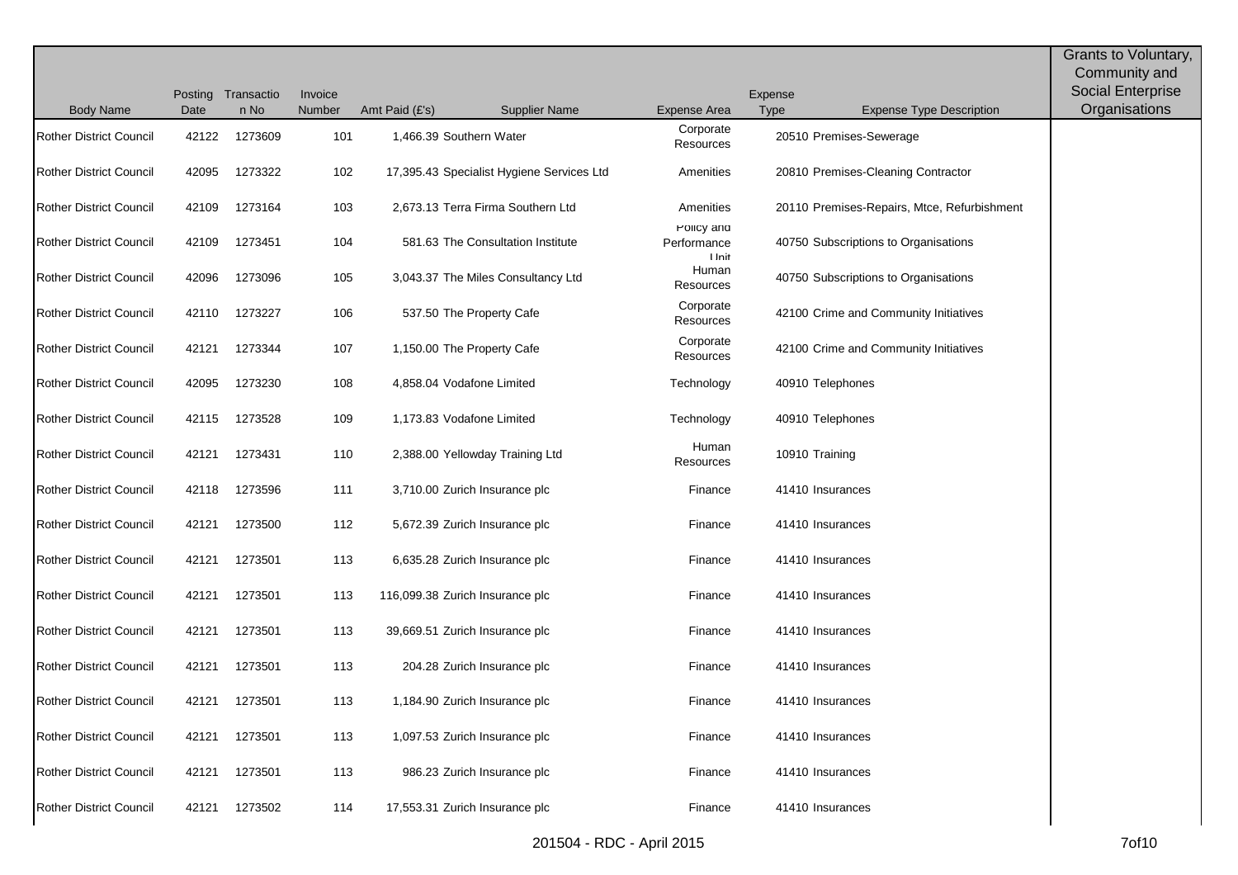|                                |       |                    |         |                  |                                           |                                     |         |                                             | Grants to Voluntary, |
|--------------------------------|-------|--------------------|---------|------------------|-------------------------------------------|-------------------------------------|---------|---------------------------------------------|----------------------|
|                                |       |                    |         |                  |                                           |                                     |         |                                             | Community and        |
|                                |       | Posting Transactio | Invoice |                  |                                           |                                     | Expense |                                             | Social Enterprise    |
| <b>Body Name</b>               | Date  | n No               | Number  | Amt Paid $(E's)$ | <b>Supplier Name</b>                      | Expense Area                        | Type    | <b>Expense Type Description</b>             | Organisations        |
| <b>Rother District Council</b> | 42122 | 1273609            | 101     |                  | 1,466.39 Southern Water                   | Corporate<br>Resources              |         | 20510 Premises-Sewerage                     |                      |
| <b>Rother District Council</b> | 42095 | 1273322            | 102     |                  | 17,395.43 Specialist Hygiene Services Ltd | Amenities                           |         | 20810 Premises-Cleaning Contractor          |                      |
| <b>Rother District Council</b> | 42109 | 1273164            | 103     |                  | 2,673.13 Terra Firma Southern Ltd         | Amenities                           |         | 20110 Premises-Repairs, Mtce, Refurbishment |                      |
| <b>Rother District Council</b> | 42109 | 1273451            | 104     |                  | 581.63 The Consultation Institute         | Policy and<br>Performance<br>I Init |         | 40750 Subscriptions to Organisations        |                      |
| <b>Rother District Council</b> | 42096 | 1273096            | 105     |                  | 3,043.37 The Miles Consultancy Ltd        | Human<br>Resources                  |         | 40750 Subscriptions to Organisations        |                      |
| <b>Rother District Council</b> | 42110 | 1273227            | 106     |                  | 537.50 The Property Cafe                  | Corporate<br>Resources              |         | 42100 Crime and Community Initiatives       |                      |
| <b>Rother District Council</b> | 42121 | 1273344            | 107     |                  | 1,150.00 The Property Cafe                | Corporate<br>Resources              |         | 42100 Crime and Community Initiatives       |                      |
| <b>Rother District Council</b> | 42095 | 1273230            | 108     |                  | 4,858.04 Vodafone Limited                 | Technology                          |         | 40910 Telephones                            |                      |
| <b>Rother District Council</b> | 42115 | 1273528            | 109     |                  | 1,173.83 Vodafone Limited                 | Technology                          |         | 40910 Telephones                            |                      |
| <b>Rother District Council</b> | 42121 | 1273431            | 110     |                  | 2,388.00 Yellowday Training Ltd           | Human<br>Resources                  |         | 10910 Training                              |                      |
| <b>Rother District Council</b> | 42118 | 1273596            | 111     |                  | 3,710.00 Zurich Insurance plc             | Finance                             |         | 41410 Insurances                            |                      |
| <b>Rother District Council</b> | 42121 | 1273500            | 112     |                  | 5,672.39 Zurich Insurance plc             | Finance                             |         | 41410 Insurances                            |                      |
| <b>Rother District Council</b> | 42121 | 1273501            | 113     |                  | 6,635.28 Zurich Insurance plc             | Finance                             |         | 41410 Insurances                            |                      |
| <b>Rother District Council</b> | 42121 | 1273501            | 113     |                  | 116,099.38 Zurich Insurance plc           | Finance                             |         | 41410 Insurances                            |                      |
| <b>Rother District Council</b> | 42121 | 1273501            | 113     |                  | 39,669.51 Zurich Insurance plc            | Finance                             |         | 41410 Insurances                            |                      |
| <b>Rother District Council</b> | 42121 | 1273501            | 113     |                  | 204.28 Zurich Insurance plc               | Finance                             |         | 41410 Insurances                            |                      |
| <b>Rother District Council</b> | 42121 | 1273501            | 113     |                  | 1,184.90 Zurich Insurance plc             | Finance                             |         | 41410 Insurances                            |                      |
| Rother District Council        | 42121 | 1273501            | 113     |                  | 1,097.53 Zurich Insurance plc             | Finance                             |         | 41410 Insurances                            |                      |
| <b>Rother District Council</b> | 42121 | 1273501            | 113     |                  | 986.23 Zurich Insurance plc               | Finance                             |         | 41410 Insurances                            |                      |
| <b>Rother District Council</b> | 42121 | 1273502            | 114     |                  | 17,553.31 Zurich Insurance plc            | Finance                             |         | 41410 Insurances                            |                      |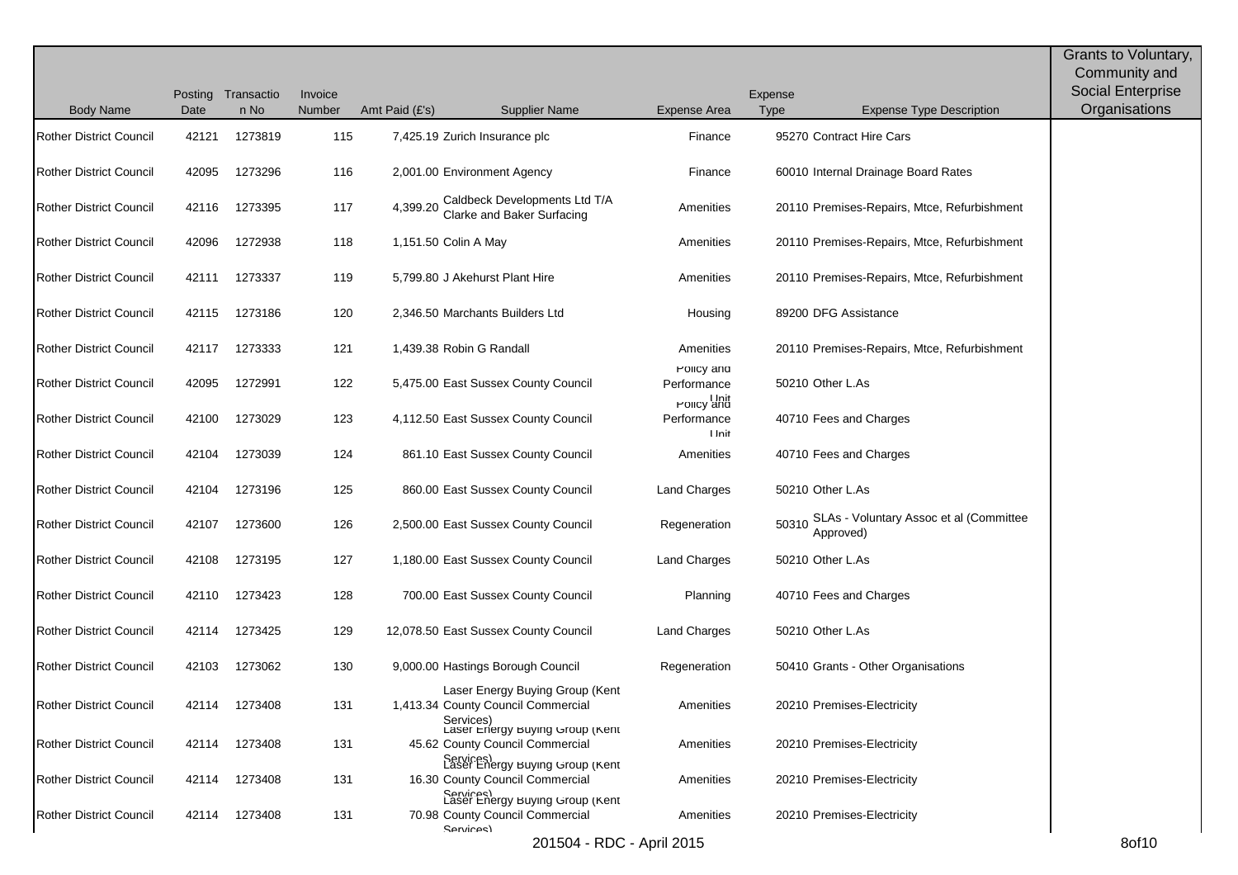| <b>Body Name</b>               | Date  | Posting Transactio<br>n No | Invoice<br>Number | Amt Paid $(E's)$ | <b>Supplier Name</b>                                                                                               | <b>Expense Area</b>                     | Expense<br>Type | <b>Expense Type Description</b>                            | Grants to Voluntary,<br>Community and<br>Social Enterprise<br>Organisations |
|--------------------------------|-------|----------------------------|-------------------|------------------|--------------------------------------------------------------------------------------------------------------------|-----------------------------------------|-----------------|------------------------------------------------------------|-----------------------------------------------------------------------------|
| <b>Rother District Council</b> | 42121 | 1273819                    | 115               |                  | 7,425.19 Zurich Insurance plc                                                                                      | Finance                                 |                 | 95270 Contract Hire Cars                                   |                                                                             |
|                                |       |                            |                   |                  |                                                                                                                    |                                         |                 |                                                            |                                                                             |
| <b>Rother District Council</b> | 42095 | 1273296                    | 116               |                  | 2,001.00 Environment Agency                                                                                        | Finance                                 |                 | 60010 Internal Drainage Board Rates                        |                                                                             |
| <b>Rother District Council</b> | 42116 | 1273395                    | 117               | 4,399.20         | Caldbeck Developments Ltd T/A<br>Clarke and Baker Surfacing                                                        | Amenities                               |                 | 20110 Premises-Repairs, Mtce, Refurbishment                |                                                                             |
| <b>Rother District Council</b> | 42096 | 1272938                    | 118               |                  | 1,151.50 Colin A May                                                                                               | Amenities                               |                 | 20110 Premises-Repairs, Mtce, Refurbishment                |                                                                             |
| <b>Rother District Council</b> | 42111 | 1273337                    | 119               |                  | 5,799.80 J Akehurst Plant Hire                                                                                     | Amenities                               |                 | 20110 Premises-Repairs, Mtce, Refurbishment                |                                                                             |
| <b>Rother District Council</b> | 42115 | 1273186                    | 120               |                  | 2,346.50 Marchants Builders Ltd                                                                                    | Housing                                 |                 | 89200 DFG Assistance                                       |                                                                             |
| <b>Rother District Council</b> | 42117 | 1273333                    | 121               |                  | 1,439.38 Robin G Randall                                                                                           | Amenities                               |                 | 20110 Premises-Repairs, Mtce, Refurbishment                |                                                                             |
| <b>Rother District Council</b> | 42095 | 1272991                    | 122               |                  | 5,475.00 East Sussex County Council                                                                                | Policy and<br>Performance<br>Holicy and |                 | 50210 Other L.As                                           |                                                                             |
| <b>Rother District Council</b> | 42100 | 1273029                    | 123               |                  | 4,112.50 East Sussex County Council                                                                                | Performance<br>I Init                   |                 | 40710 Fees and Charges                                     |                                                                             |
| <b>Rother District Council</b> | 42104 | 1273039                    | 124               |                  | 861.10 East Sussex County Council                                                                                  | Amenities                               |                 | 40710 Fees and Charges                                     |                                                                             |
| <b>Rother District Council</b> | 42104 | 1273196                    | 125               |                  | 860.00 East Sussex County Council                                                                                  | Land Charges                            |                 | 50210 Other L.As                                           |                                                                             |
| <b>Rother District Council</b> | 42107 | 1273600                    | 126               |                  | 2,500.00 East Sussex County Council                                                                                | Regeneration                            |                 | 50310 SLAs - Voluntary Assoc et al (Committee<br>Approved) |                                                                             |
| <b>Rother District Council</b> | 42108 | 1273195                    | 127               |                  | 1,180.00 East Sussex County Council                                                                                | Land Charges                            |                 | 50210 Other L.As                                           |                                                                             |
| <b>Rother District Council</b> | 42110 | 1273423                    | 128               |                  | 700.00 East Sussex County Council                                                                                  | Planning                                |                 | 40710 Fees and Charges                                     |                                                                             |
| <b>Rother District Council</b> | 42114 | 1273425                    | 129               |                  | 12,078.50 East Sussex County Council                                                                               | Land Charges                            |                 | 50210 Other L.As                                           |                                                                             |
| <b>Rother District Council</b> | 42103 | 1273062                    | 130               |                  | 9,000.00 Hastings Borough Council                                                                                  | Regeneration                            |                 | 50410 Grants - Other Organisations                         |                                                                             |
| Rother District Council        | 42114 | 1273408                    | 131               |                  | Laser Energy Buying Group (Kent<br>1,413.34 County Council Commercial<br>Services)                                 | Amenities                               |                 | 20210 Premises-Electricity                                 |                                                                             |
| <b>Rother District Council</b> |       | 42114 1273408              | 131               |                  | Laser Energy Buying Group (Kent<br>45.62 County Council Commercial<br>Services)<br>Laser Energy Buying Group (Kent | Amenities                               |                 | 20210 Premises-Electricity                                 |                                                                             |
| <b>Rother District Council</b> |       | 42114 1273408              | 131               |                  | 16.30 County Council Commercial<br>Services)<br>Laser Energy Buying Group (Kent                                    | Amenities                               |                 | 20210 Premises-Electricity                                 |                                                                             |
| <b>Rother District Council</b> |       | 42114 1273408              | 131               |                  | 70.98 County Council Commercial<br>Sanviras)                                                                       | Amenities                               |                 | 20210 Premises-Electricity                                 |                                                                             |

201504 - RDC - April 2015 8of10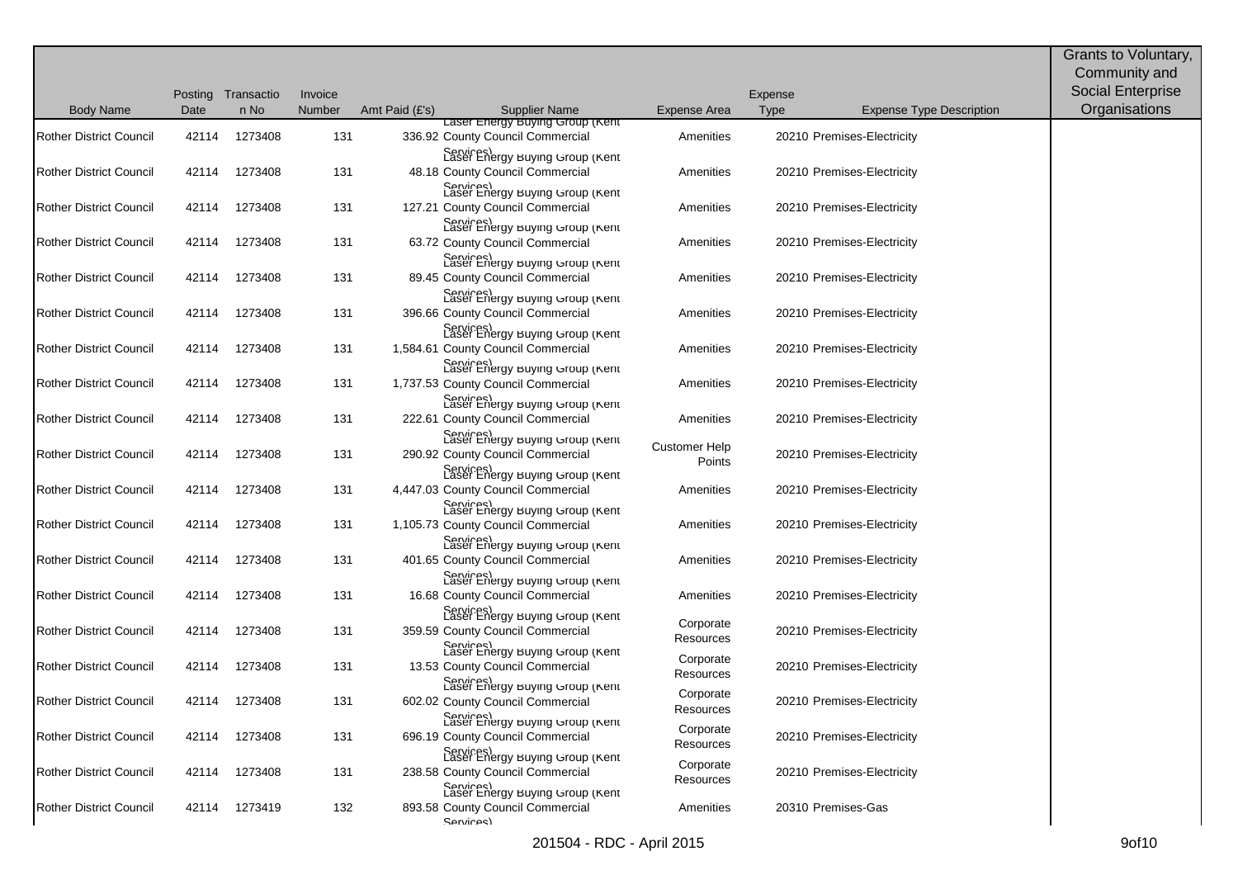| <b>Body Name</b>               | Date  | Posting Transactio<br>n No | Invoice<br>Number | Amt Paid (£'s) | <b>Supplier Name</b>                                                                                                               | Expense Area            | Expense<br><b>Type</b> | <b>Expense Type Description</b> | Grants to Voluntary,<br>Community and<br>Social Enterprise<br>Organisations |
|--------------------------------|-------|----------------------------|-------------------|----------------|------------------------------------------------------------------------------------------------------------------------------------|-------------------------|------------------------|---------------------------------|-----------------------------------------------------------------------------|
| <b>Rother District Council</b> | 42114 | 1273408                    | 131               |                | Laser Energy Buying Group (Kent<br>336.92 County Council Commercial                                                                | Amenities               |                        | 20210 Premises-Electricity      |                                                                             |
| <b>Rother District Council</b> | 42114 | 1273408                    | 131               |                | Services)<br>Laser Energy Buying Group (Kent<br>48.18 County Council Commercial<br>Services)<br>Laser Energy Buying Group (Kent    | Amenities               |                        | 20210 Premises-Electricity      |                                                                             |
| <b>Rother District Council</b> | 42114 | 1273408                    | 131               |                | 127.21 County Council Commercial                                                                                                   | Amenities               |                        | 20210 Premises-Electricity      |                                                                             |
| <b>Rother District Council</b> | 42114 | 1273408                    | 131               |                | Services)<br>Laser Energy Buying Group (Kent<br>63.72 County Council Commercial<br>Services)<br>Laser Energy Buying Group (Kent    | Amenities               |                        | 20210 Premises-Electricity      |                                                                             |
| <b>Rother District Council</b> | 42114 | 1273408                    | 131               |                | 89.45 County Council Commercial<br>Carvices)<br>Laser Energy Buying Group (Kent                                                    | Amenities               |                        | 20210 Premises-Electricity      |                                                                             |
| <b>Rother District Council</b> | 42114 | 1273408                    | 131               |                | 396.66 County Council Commercial                                                                                                   | Amenities               |                        | 20210 Premises-Electricity      |                                                                             |
| <b>Rother District Council</b> | 42114 | 1273408                    | 131               |                | Services)<br>Laser Energy Buying Group (Kent<br>1,584.61 County Council Commercial<br>Services)<br>Laser Energy Buying Group (Kent | Amenities               |                        | 20210 Premises-Electricity      |                                                                             |
| <b>Rother District Council</b> | 42114 | 1273408                    | 131               |                | 1,737.53 County Council Commercial                                                                                                 | Amenities               |                        | 20210 Premises-Electricity      |                                                                             |
| <b>Rother District Council</b> | 42114 | 1273408                    | 131               |                | Services)<br>Laser Energy Buying Group (Kent<br>222.61 County Council Commercial                                                   | Amenities               |                        | 20210 Premises-Electricity      |                                                                             |
| <b>Rother District Council</b> | 42114 | 1273408                    | 131               |                | Services)<br>Laser Energy Buying Group (Kent<br>290.92 County Council Commercial<br>Laser Energy Buying Group (Kent                | Customer Help<br>Points |                        | 20210 Premises-Electricity      |                                                                             |
| <b>Rother District Council</b> | 42114 | 1273408                    | 131               |                | 4,447.03 County Council Commercial<br>Caser Energy Buying Group (Kent                                                              | Amenities               |                        | 20210 Premises-Electricity      |                                                                             |
| <b>Rother District Council</b> | 42114 | 1273408                    | 131               |                | 1,105.73 County Council Commercial<br>Caser Energy Buying Group (Kent                                                              | Amenities               |                        | 20210 Premises-Electricity      |                                                                             |
| <b>Rother District Council</b> | 42114 | 1273408                    | 131               |                | 401.65 County Council Commercial<br>Laser Energy Buying Group (Kent                                                                | Amenities               |                        | 20210 Premises-Electricity      |                                                                             |
| <b>Rother District Council</b> | 42114 | 1273408                    | 131               |                | 16.68 County Council Commercial                                                                                                    | Amenities               |                        | 20210 Premises-Electricity      |                                                                             |
| <b>Rother District Council</b> | 42114 | 1273408                    | 131               |                | Caser Energy Buying Group (Kent<br>359.59 County Council Commercial                                                                | Corporate<br>Resources  |                        | 20210 Premises-Electricity      |                                                                             |
| <b>Rother District Council</b> | 42114 | 1273408                    | 131               |                | Caser Energy Buying Group (Kent<br>13.53 County Council Commercial                                                                 | Corporate<br>Resources  |                        | 20210 Premises-Electricity      |                                                                             |
| <b>Rother District Council</b> |       | 42114 1273408              | 131               |                | Services)<br>Laser Energy Buying Group (Kent<br>602.02 County Council Commercial                                                   | Corporate<br>Resources  |                        | 20210 Premises-Electricity      |                                                                             |
| <b>Rother District Council</b> | 42114 | 1273408                    | 131               |                | Services)<br>Laser Energy Buying Group (Kent<br>696.19 County Council Commercial                                                   | Corporate<br>Resources  |                        | 20210 Premises-Electricity      |                                                                             |
| <b>Rother District Council</b> | 42114 | 1273408                    | 131               |                | Laser Energy Buying Group (Kent<br>238.58 County Council Commercial<br>Carvices)<br>Laser Energy Buying Group (Kent                | Corporate<br>Resources  |                        | 20210 Premises-Electricity      |                                                                             |
| Rother District Council        |       | 42114 1273419              | 132               |                | 893.58 County Council Commercial<br>Services)                                                                                      | Amenities               |                        | 20310 Premises-Gas              |                                                                             |